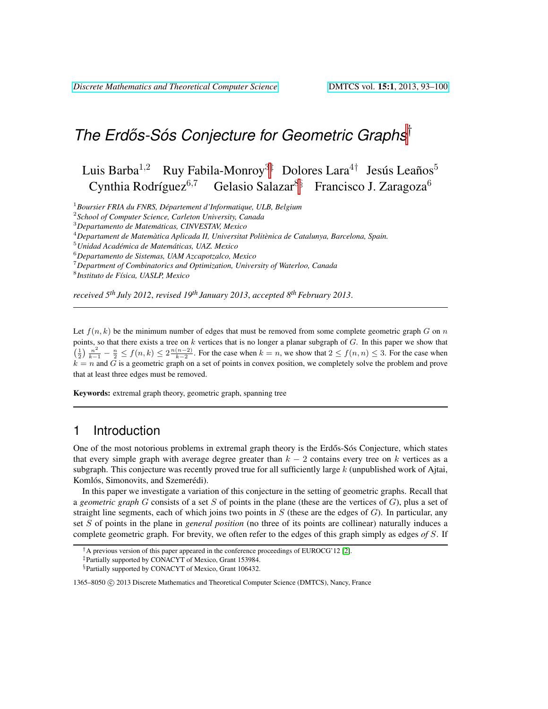# *The Erdos-S ˝ os Conjecture for Geometric Graphs ´* †

Luis Barba $^{1,2}$  Ruy Fabila-Monroy $^{3\ddagger}$  Dolores Lara $^{4\dagger}$  Jesús Leaños $^5$ Cynthia Rodríguez<sup>6,7</sup> Gelasio Salazar<sup>8§</sup> Francisco J. Zaragoza<sup>6</sup>

<sup>1</sup>*Boursier FRIA du FNRS, Departement d'Informatique, ULB, Belgium ´*

2 *School of Computer Science, Carleton University, Canada*

<sup>3</sup>*Departamento de Matematicas, CINVESTAV, Mexico ´*

<sup>4</sup>*Departament de Matematica Aplicada II, Universitat Polit ` enica de Catalunya, Barcelona, Spain. `*

<sup>5</sup>*Unidad Academica de Matem ´ aticas, UAZ. Mexico ´*

<sup>6</sup>*Departamento de Sistemas, UAM Azcapotzalco, Mexico*

<sup>7</sup>*Department of Combinatorics and Optimization, University of Waterloo, Canada*

8 *Instituto de F´ısica, UASLP, Mexico*

*received 5th July 2012*, *revised 19th January 2013*, *accepted 8thFebruary 2013*.

Let  $f(n, k)$  be the minimum number of edges that must be removed from some complete geometric graph G on n points, so that there exists a tree on  $k$  vertices that is no longer a planar subgraph of  $G$ . In this paper we show that  $\left(\frac{1}{2}\right) \frac{n^2}{k-1} - \frac{n}{2} \le f(n,k) \le 2 \frac{n(n-2)}{k-2}$ . For the case when  $k = n$ , we show that  $2 \le f(n,n) \le 3$ . For the case when  $k = n$  and G is a geometric graph on a set of points in convex position, we completely solve the problem and prove that at least three edges must be removed.

Keywords: extremal graph theory, geometric graph, spanning tree

### 1 Introduction

One of the most notorious problems in extremal graph theory is the Erdős-Sós Conjecture, which states that every simple graph with average degree greater than  $k - 2$  contains every tree on k vertices as a subgraph. This conjecture was recently proved true for all sufficiently large  $k$  (unpublished work of Ajtai, Komlós, Simonovits, and Szemerédi).

In this paper we investigate a variation of this conjecture in the setting of geometric graphs. Recall that a *geometric graph* G consists of a set S of points in the plane (these are the vertices of G), plus a set of straight line segments, each of which joins two points in  $S$  (these are the edges of  $G$ ). In particular, any set S of points in the plane in *general position* (no three of its points are collinear) naturally induces a complete geometric graph. For brevity, we often refer to the edges of this graph simply as edges *of* S. If

 $^{\dagger}$ A previous version of this paper appeared in the conference proceedings of EUROCG'12 [\[2\]](#page-7-0).

<sup>‡</sup>Partially supported by CONACYT of Mexico, Grant 153984.

<sup>§</sup>Partially supported by CONACYT of Mexico, Grant 106432.

<sup>1365–8050</sup> C 2013 Discrete Mathematics and Theoretical Computer Science (DMTCS), Nancy, France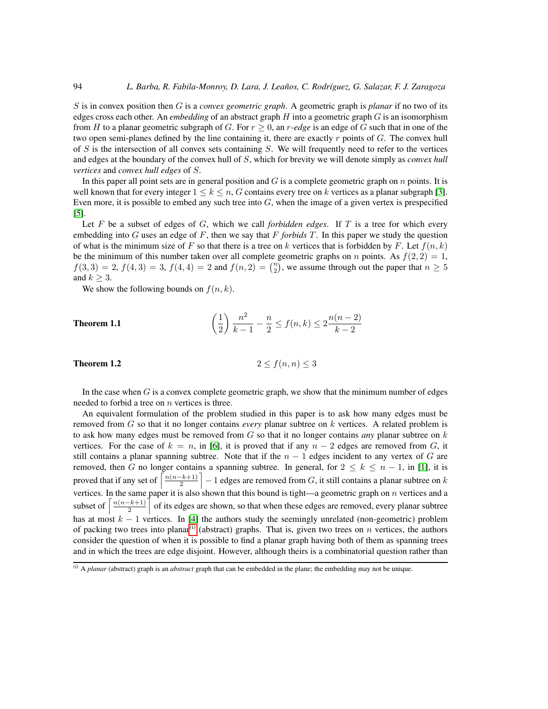S is in convex position then G is a *convex geometric graph*. A geometric graph is *planar* if no two of its edges cross each other. An *embedding* of an abstract graph H into a geometric graph G is an isomorphism from H to a planar geometric subgraph of G. For  $r \ge 0$ , an r-edge is an edge of G such that in one of the two open semi-planes defined by the line containing it, there are exactly  $r$  points of  $G$ . The convex hull of  $S$  is the intersection of all convex sets containing  $S$ . We will frequently need to refer to the vertices and edges at the boundary of the convex hull of S, which for brevity we will denote simply as *convex hull vertices* and *convex hull edges* of S.

In this paper all point sets are in general position and  $G$  is a complete geometric graph on  $n$  points. It is well known that for every integer  $1 \leq k \leq n$ , G contains every tree on k vertices as a planar subgraph [\[3\]](#page-7-1). Even more, it is possible to embed any such tree into  $G$ , when the image of a given vertex is prespecified [\[5\]](#page-7-2).

Let F be a subset of edges of G, which we call *forbidden edges*. If T is a tree for which every embedding into  $G$  uses an edge of  $F$ , then we say that  $F$  *forbids*  $T$ . In this paper we study the question of what is the minimum size of F so that there is a tree on k vertices that is forbidden by F. Let  $f(n, k)$ be the minimum of this number taken over all complete geometric graphs on n points. As  $f(2, 2) = 1$ ,  $f(3,3) = 2, f(4,3) = 3, f(4,4) = 2$  and  $f(n, 2) = {n \choose 2}$ , we assume through out the paper that  $n \ge 5$ and  $k \geq 3$ .

We show the following bounds on  $f(n, k)$ .

<span id="page-1-2"></span>**Theorem 1.1** 
$$
\left(\frac{1}{2}\right) \frac{n^2}{k-1} - \frac{n}{2} \le f(n,k) \le 2 \frac{n(n-2)}{k-2}
$$

<span id="page-1-1"></span>**Theorem 1.2** 2  $\leq f(n,n) \leq 3$ 

In the case when  $G$  is a convex complete geometric graph, we show that the minimum number of edges needed to forbid a tree on  $n$  vertices is three.

An equivalent formulation of the problem studied in this paper is to ask how many edges must be removed from G so that it no longer contains *every* planar subtree on k vertices. A related problem is to ask how many edges must be removed from G so that it no longer contains *any* planar subtree on k vertices. For the case of  $k = n$ , in [\[6\]](#page-7-3), it is proved that if any  $n - 2$  edges are removed from G, it still contains a planar spanning subtree. Note that if the  $n - 1$  edges incident to any vertex of G are removed, then G no longer contains a spanning subtree. In general, for  $2 \leq k \leq n-1$ , in [\[1\]](#page-7-4), it is proved that if any set of  $\left\lceil \frac{n(n-k+1)}{2} \right\rceil$  $\left\lfloor \frac{-k+1}{2} \right\rfloor - 1$  edges are removed from G, it still contains a planar subtree on k vertices. In the same paper it is also shown that this bound is tight—a geometric graph on  $n$  vertices and a subset of  $\left\lceil \frac{n(n-k+1)}{2} \right\rceil$  $\frac{-(k+1)}{2}$  of its edges are shown, so that when these edges are removed, every planar subtree has at most  $k - 1$  vertices. In [\[4\]](#page-7-5) the authors study the seemingly unrelated (non-geometric) problem of packing two trees into planar<sup>[\(i\)](#page-1-0)</sup> (abstract) graphs. That is, given two trees on n vertices, the authors consider the question of when it is possible to find a planar graph having both of them as spanning trees and in which the trees are edge disjoint. However, although theirs is a combinatorial question rather than

<span id="page-1-0"></span><sup>(</sup>i) A *planar* (abstract) graph is an *abstract* graph that can be embedded in the plane; the embedding may not be unique.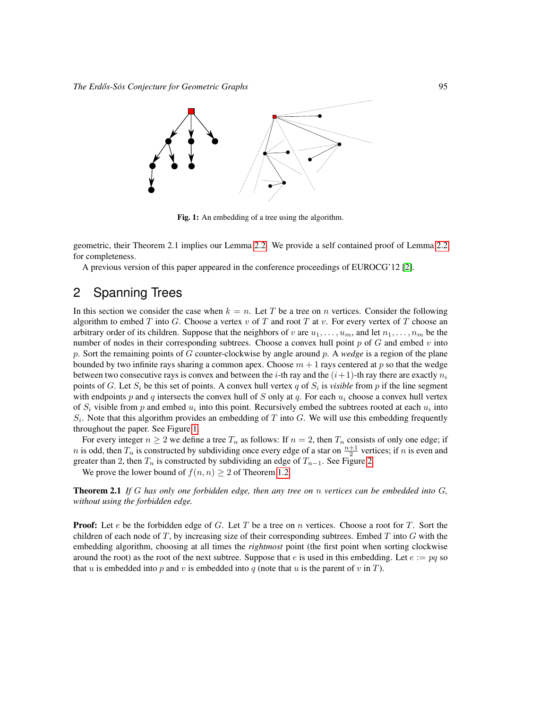

<span id="page-2-0"></span>Fig. 1: An embedding of a tree using the algorithm.

geometric, their Theorem 2.1 implies our Lemma [2.2.](#page-4-0) We provide a self contained proof of Lemma [2.2](#page-4-0) for completeness.

A previous version of this paper appeared in the conference proceedings of EUROCG'12 [\[2\]](#page-7-0).

# 2 Spanning Trees

In this section we consider the case when  $k = n$ . Let T be a tree on n vertices. Consider the following algorithm to embed T into G. Choose a vertex v of T and root T at v. For every vertex of T choose an arbitrary order of its children. Suppose that the neighbors of v are  $u_1, \ldots, u_m$ , and let  $n_1, \ldots, n_m$  be the number of nodes in their corresponding subtrees. Choose a convex hull point  $p$  of  $G$  and embed  $v$  into p. Sort the remaining points of G counter-clockwise by angle around p. A *wedge* is a region of the plane bounded by two infinite rays sharing a common apex. Choose  $m + 1$  rays centered at p so that the wedge between two consecutive rays is convex and between the *i*-th ray and the  $(i+1)$ -th ray there are exactly  $n<sub>i</sub>$ points of G. Let  $S_i$  be this set of points. A convex hull vertex q of  $S_i$  is *visible* from p if the line segment with endpoints p and q intersects the convex hull of S only at q. For each  $u_i$  choose a convex hull vertex of  $S_i$  visible from p and embed  $u_i$  into this point. Recursively embed the subtrees rooted at each  $u_i$  into  $S_i$ . Note that this algorithm provides an embedding of T into G. We will use this embedding frequently throughout the paper. See Figure [1.](#page-2-0)

For every integer  $n \geq 2$  we define a tree  $T_n$  as follows: If  $n = 2$ , then  $T_n$  consists of only one edge; if *n* is odd, then  $T_n$  is constructed by subdividing once every edge of a star on  $\frac{n+1}{2}$  vertices; if *n* is even and greater than 2, then  $T_n$  is constructed by subdividing an edge of  $T_{n-1}$ . See Figure [2.](#page-3-0)

We prove the lower bound of  $f(n, n) > 2$  of Theorem [1.2.](#page-1-1)

Theorem 2.1 *If* G *has only one forbidden edge, then any tree on* n *vertices can be embedded into* G*, without using the forbidden edge.*

**Proof:** Let  $e$  be the forbidden edge of  $G$ . Let  $T$  be a tree on  $n$  vertices. Choose a root for  $T$ . Sort the children of each node of  $T$ , by increasing size of their corresponding subtrees. Embed  $T$  into  $G$  with the embedding algorithm, choosing at all times the *rightmost* point (the first point when sorting clockwise around the root) as the root of the next subtree. Suppose that e is used in this embedding. Let  $e := pq$  so that u is embedded into p and v is embedded into q (note that u is the parent of v in T).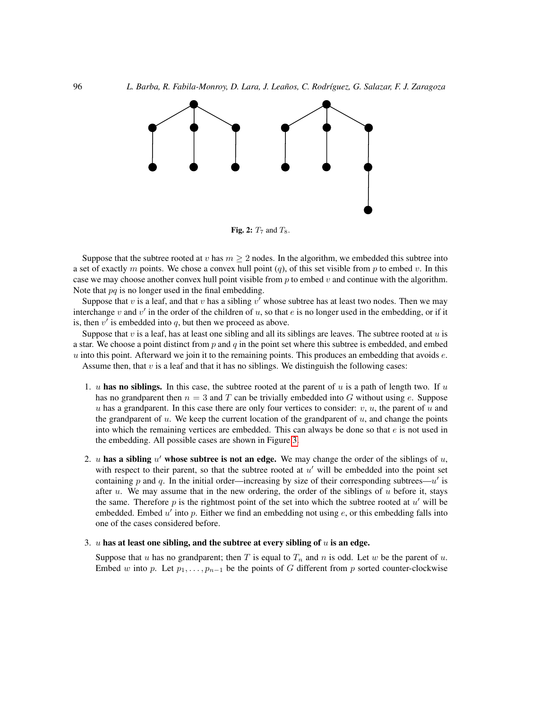

<span id="page-3-0"></span>Fig. 2:  $T_7$  and  $T_8$ .

Suppose that the subtree rooted at v has  $m \geq 2$  nodes. In the algorithm, we embedded this subtree into a set of exactly m points. We chose a convex hull point  $(q)$ , of this set visible from p to embed v. In this case we may choose another convex hull point visible from  $p$  to embed  $v$  and continue with the algorithm. Note that  $pq$  is no longer used in the final embedding.

Suppose that  $v$  is a leaf, and that  $v$  has a sibling  $v'$  whose subtree has at least two nodes. Then we may interchange v and v' in the order of the children of u, so that e is no longer used in the embedding, or if it is, then  $v'$  is embedded into  $q$ , but then we proceed as above.

Suppose that  $v$  is a leaf, has at least one sibling and all its siblings are leaves. The subtree rooted at  $u$  is a star. We choose a point distinct from  $p$  and  $q$  in the point set where this subtree is embedded, and embed  $u$  into this point. Afterward we join it to the remaining points. This produces an embedding that avoids  $e$ . Assume then, that  $v$  is a leaf and that it has no siblings. We distinguish the following cases:

- 1. u has no siblings. In this case, the subtree rooted at the parent of u is a path of length two. If u has no grandparent then  $n = 3$  and T can be trivially embedded into G without using e. Suppose u has a grandparent. In this case there are only four vertices to consider:  $v, u$ , the parent of u and the grandparent of  $u$ . We keep the current location of the grandparent of  $u$ , and change the points into which the remaining vertices are embedded. This can always be done so that  $e$  is not used in the embedding. All possible cases are shown in Figure [3.](#page-4-1)
- 2. u has a sibling  $u'$  whose subtree is not an edge. We may change the order of the siblings of  $u$ , with respect to their parent, so that the subtree rooted at  $u'$  will be embedded into the point set containing p and q. In the initial order—increasing by size of their corresponding subtrees— $u'$  is after u. We may assume that in the new ordering, the order of the siblings of u before it, stays the same. Therefore  $p$  is the rightmost point of the set into which the subtree rooted at  $u'$  will be embedded. Embed  $u'$  into  $p$ . Either we find an embedding not using  $e$ , or this embedding falls into one of the cases considered before.

#### 3.  $u$  has at least one sibling, and the subtree at every sibling of  $u$  is an edge.

Suppose that u has no grandparent; then T is equal to  $T_n$  and n is odd. Let w be the parent of u. Embed w into p. Let  $p_1, \ldots, p_{n-1}$  be the points of G different from p sorted counter-clockwise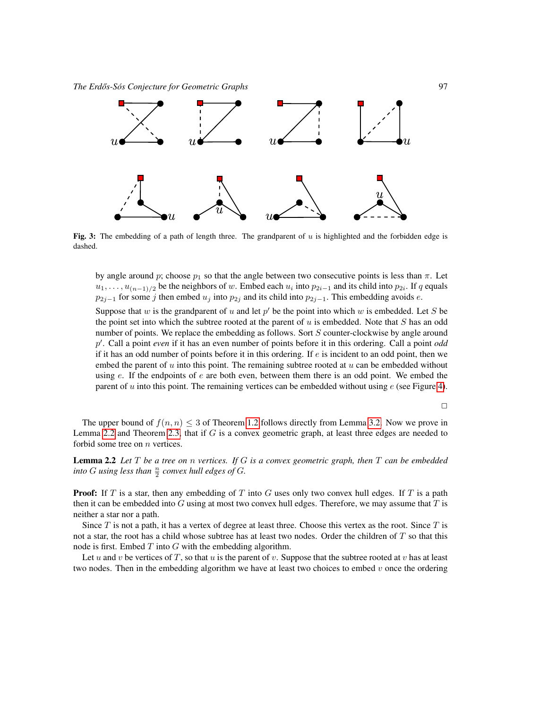

<span id="page-4-1"></span>Fig. 3: The embedding of a path of length three. The grandparent of  $u$  is highlighted and the forbidden edge is dashed.

by angle around p; choose  $p_1$  so that the angle between two consecutive points is less than  $\pi$ . Let  $u_1, \ldots, u_{(n-1)/2}$  be the neighbors of w. Embed each  $u_i$  into  $p_{2i-1}$  and its child into  $p_{2i}$ . If q equals  $p_{2j-1}$  for some j then embed  $u_j$  into  $p_{2j}$  and its child into  $p_{2j-1}$ . This embedding avoids e.

Suppose that w is the grandparent of u and let  $p'$  be the point into which w is embedded. Let S be the point set into which the subtree rooted at the parent of  $u$  is embedded. Note that  $S$  has an odd number of points. We replace the embedding as follows. Sort S counter-clockwise by angle around p 0 . Call a point *even* if it has an even number of points before it in this ordering. Call a point *odd* if it has an odd number of points before it in this ordering. If  $e$  is incident to an odd point, then we embed the parent of  $u$  into this point. The remaining subtree rooted at  $u$  can be embedded without using  $e$ . If the endpoints of  $e$  are both even, between them there is an odd point. We embed the parent of u into this point. The remaining vertices can be embedded without using  $e$  (see Figure [4\)](#page-5-0).

 $\Box$ 

The upper bound of  $f(n, n) \leq 3$  of Theorem [1.2](#page-1-1) follows directly from Lemma [3.2.](#page-6-0) Now we prove in Lemma [2.2](#page-4-0) and Theorem [2.3,](#page-5-1) that if  $G$  is a convex geometric graph, at least three edges are needed to forbid some tree on  $n$  vertices.

<span id="page-4-0"></span>Lemma 2.2 *Let* T *be a tree on* n *vertices. If* G *is a convex geometric graph, then* T *can be embedded* into G using less than  $\frac{n}{2}$  convex hull edges of G.

**Proof:** If T is a star, then any embedding of T into G uses only two convex hull edges. If T is a path then it can be embedded into  $G$  using at most two convex hull edges. Therefore, we may assume that  $T$  is neither a star nor a path.

Since  $T$  is not a path, it has a vertex of degree at least three. Choose this vertex as the root. Since  $T$  is not a star, the root has a child whose subtree has at least two nodes. Order the children of T so that this node is first. Embed  $T$  into  $G$  with the embedding algorithm.

Let u and v be vertices of T, so that u is the parent of v. Suppose that the subtree rooted at v has at least two nodes. Then in the embedding algorithm we have at least two choices to embed  $v$  once the ordering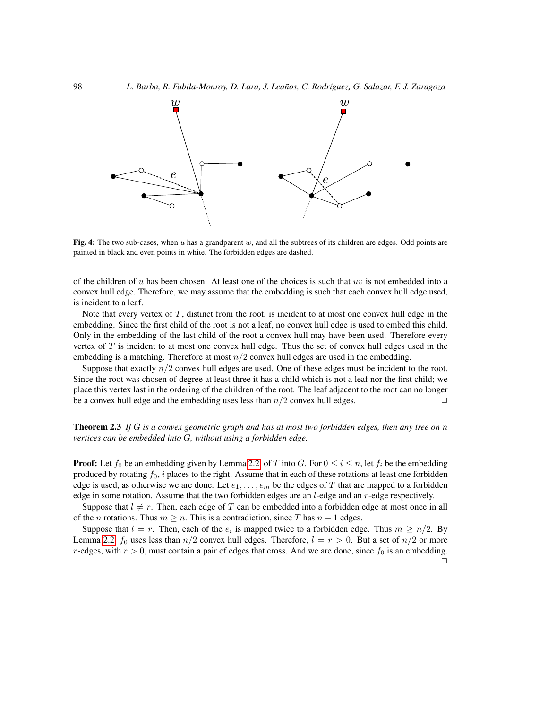

<span id="page-5-0"></span>Fig. 4: The two sub-cases, when u has a grandparent w, and all the subtrees of its children are edges. Odd points are painted in black and even points in white. The forbidden edges are dashed.

of the children of  $u$  has been chosen. At least one of the choices is such that  $uv$  is not embedded into a convex hull edge. Therefore, we may assume that the embedding is such that each convex hull edge used, is incident to a leaf.

Note that every vertex of  $T$ , distinct from the root, is incident to at most one convex hull edge in the embedding. Since the first child of the root is not a leaf, no convex hull edge is used to embed this child. Only in the embedding of the last child of the root a convex hull may have been used. Therefore every vertex of  $T$  is incident to at most one convex hull edge. Thus the set of convex hull edges used in the embedding is a matching. Therefore at most  $n/2$  convex hull edges are used in the embedding.

Suppose that exactly  $n/2$  convex hull edges are used. One of these edges must be incident to the root. Since the root was chosen of degree at least three it has a child which is not a leaf nor the first child; we place this vertex last in the ordering of the children of the root. The leaf adjacent to the root can no longer be a convex hull edge and the embedding uses less than  $n/2$  convex hull edges.

<span id="page-5-1"></span>Theorem 2.3 *If* G *is a convex geometric graph and has at most two forbidden edges, then any tree on* n *vertices can be embedded into* G*, without using a forbidden edge.*

**Proof:** Let  $f_0$  be an embedding given by Lemma [2.2,](#page-4-0) of T into G. For  $0 \le i \le n$ , let  $f_i$  be the embedding produced by rotating  $f_0$ , i places to the right. Assume that in each of these rotations at least one forbidden edge is used, as otherwise we are done. Let  $e_1, \ldots, e_m$  be the edges of T that are mapped to a forbidden edge in some rotation. Assume that the two forbidden edges are an  $l$ -edge and an  $r$ -edge respectively.

Suppose that  $l \neq r$ . Then, each edge of T can be embedded into a forbidden edge at most once in all of the *n* rotations. Thus  $m \ge n$ . This is a contradiction, since T has  $n - 1$  edges.

Suppose that  $l = r$ . Then, each of the  $e_i$  is mapped twice to a forbidden edge. Thus  $m \geq n/2$ . By Lemma [2.2,](#page-4-0)  $f_0$  uses less than  $n/2$  convex hull edges. Therefore,  $l = r > 0$ . But a set of  $n/2$  or more r-edges, with  $r > 0$ , must contain a pair of edges that cross. And we are done, since  $f_0$  is an embedding.  $\Box$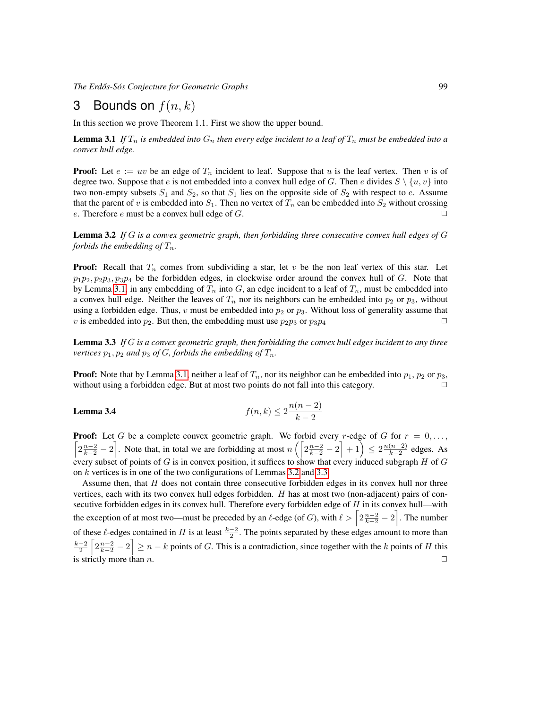*The Erdos-S ˝ os Conjecture for Geometric Graphs ´* 99

## 3 Bounds on  $f(n, k)$

In this section we prove Theorem 1.1. First we show the upper bound.

<span id="page-6-1"></span>**Lemma 3.1** *If*  $T_n$  *is embedded into*  $G_n$  *then every edge incident to a leaf of*  $T_n$  *must be embedded into a convex hull edge.*

**Proof:** Let  $e := uv$  be an edge of  $T_n$  incident to leaf. Suppose that u is the leaf vertex. Then v is of degree two. Suppose that e is not embedded into a convex hull edge of G. Then e divides  $S \setminus \{u, v\}$  into two non-empty subsets  $S_1$  and  $S_2$ , so that  $S_1$  lies on the opposite side of  $S_2$  with respect to e. Assume that the parent of v is embedded into  $S_1$ . Then no vertex of  $T_n$  can be embedded into  $S_2$  without crossing e. Therefore e must be a convex hull edge of G.  $\Box$ 

<span id="page-6-0"></span>Lemma 3.2 *If* G *is a convex geometric graph, then forbidding three consecutive convex hull edges of* G *forbids the embedding of*  $T_n$ *.* 

**Proof:** Recall that  $T_n$  comes from subdividing a star, let v be the non leaf vertex of this star. Let  $p_1p_2, p_2p_3, p_3p_4$  be the forbidden edges, in clockwise order around the convex hull of G. Note that by Lemma [3.1,](#page-6-1) in any embedding of  $T_n$  into G, an edge incident to a leaf of  $T_n$ , must be embedded into a convex hull edge. Neither the leaves of  $T_n$  nor its neighbors can be embedded into  $p_2$  or  $p_3$ , without using a forbidden edge. Thus, v must be embedded into  $p_2$  or  $p_3$ . Without loss of generality assume that v is embedded into  $p_2$ . But then, the embedding must use  $p_2p_3$  or  $p_3p_4$ 

<span id="page-6-2"></span>Lemma 3.3 *If* G *is a convex geometric graph, then forbidding the convex hull edges incident to any three vertices*  $p_1, p_2$  *and*  $p_3$  *of*  $G$ *, forbids the embedding of*  $T_n$ *.* 

**Proof:** Note that by Lemma [3.1,](#page-6-1) neither a leaf of  $T_n$ , nor its neighbor can be embedded into  $p_1$ ,  $p_2$  or  $p_3$ , without using a forbidden edge. But at most two points do not fall into this category.

**Lemma 3.4** 
$$
f(n,k) \le 2 \frac{n(n-2)}{k-2}
$$

**Proof:** Let G be a complete convex geometric graph. We forbid every r-edge of G for  $r = 0, \ldots,$  $\left[2\frac{n-2}{k-2}-2\right]$ . Note that, in total we are forbidding at most  $n\left(\left[2\frac{n-2}{k-2}-2\right]+1\right) \leq 2\frac{n(n-2)}{k-2}$  $\frac{(n-2)}{k-2}$  edges. As every subset of points of G is in convex position, it suffices to show that every induced subgraph  $H$  of  $G$ on k vertices is in one of the two configurations of Lemmas [3.2](#page-6-0) and [3.3.](#page-6-2)

Assume then, that  $H$  does not contain three consecutive forbidden edges in its convex hull nor three vertices, each with its two convex hull edges forbidden. H has at most two (non-adjacent) pairs of consecutive forbidden edges in its convex hull. Therefore every forbidden edge of  $H$  in its convex hull—with the exception of at most two—must be preceded by an  $\ell$ -edge (of G), with  $\ell > \left\lceil 2\frac{n-2}{k-2} - 2 \right\rceil$ . The number of these  $\ell$ -edges contained in H is at least  $\frac{k-2}{2}$ . The points separated by these edges amount to more than  $\frac{k-2}{2} \left[2\frac{n-2}{k-2}-2\right] \geq n-k$  points of G. This is a contradiction, since together with the k points of H this is strictly more than n.